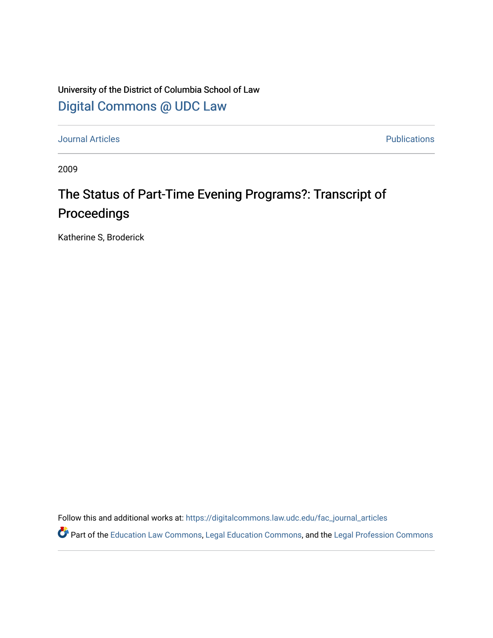University of the District of Columbia School of Law [Digital Commons @ UDC Law](https://digitalcommons.law.udc.edu/) 

[Journal Articles](https://digitalcommons.law.udc.edu/fac_journal_articles) **Publications** 

2009

## The Status of Part-Time Evening Programs?: Transcript of Proceedings

Katherine S, Broderick

Follow this and additional works at: [https://digitalcommons.law.udc.edu/fac\\_journal\\_articles](https://digitalcommons.law.udc.edu/fac_journal_articles?utm_source=digitalcommons.law.udc.edu%2Ffac_journal_articles%2F130&utm_medium=PDF&utm_campaign=PDFCoverPages)

Part of the [Education Law Commons,](http://network.bepress.com/hgg/discipline/596?utm_source=digitalcommons.law.udc.edu%2Ffac_journal_articles%2F130&utm_medium=PDF&utm_campaign=PDFCoverPages) [Legal Education Commons,](http://network.bepress.com/hgg/discipline/857?utm_source=digitalcommons.law.udc.edu%2Ffac_journal_articles%2F130&utm_medium=PDF&utm_campaign=PDFCoverPages) and the [Legal Profession Commons](http://network.bepress.com/hgg/discipline/1075?utm_source=digitalcommons.law.udc.edu%2Ffac_journal_articles%2F130&utm_medium=PDF&utm_campaign=PDFCoverPages)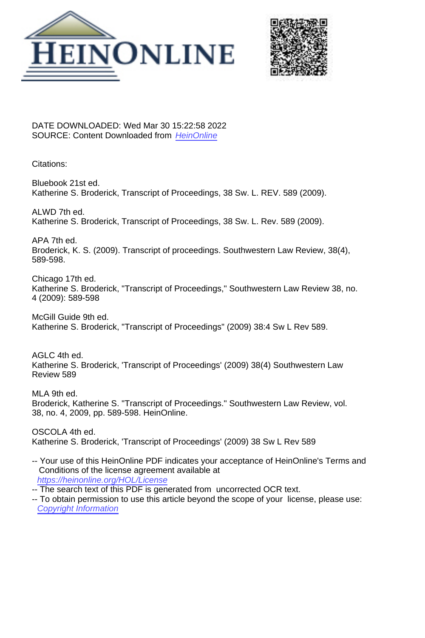



DATE DOWNLOADED: Wed Mar 30 15:22:58 2022 SOURCE: Content Downloaded from [HeinOnline](https://heinonline.org/HOL/Page?handle=hein.journals/swulr38&collection=journals&id=597&startid=&endid=606)

Citations:

Bluebook 21st ed. Katherine S. Broderick, Transcript of Proceedings, 38 Sw. L. REV. 589 (2009).

ALWD 7th ed. Katherine S. Broderick, Transcript of Proceedings, 38 Sw. L. Rev. 589 (2009).

APA 7th ed. Broderick, K. S. (2009). Transcript of proceedings. Southwestern Law Review, 38(4), 589-598.

Chicago 17th ed. Katherine S. Broderick, "Transcript of Proceedings," Southwestern Law Review 38, no. 4 (2009): 589-598

McGill Guide 9th ed. Katherine S. Broderick, "Transcript of Proceedings" (2009) 38:4 Sw L Rev 589.

AGLC 4th ed. Katherine S. Broderick, 'Transcript of Proceedings' (2009) 38(4) Southwestern Law Review 589

MLA 9th ed. Broderick, Katherine S. "Transcript of Proceedings." Southwestern Law Review, vol. 38, no. 4, 2009, pp. 589-598. HeinOnline.

OSCOLA 4th ed. Katherine S. Broderick, 'Transcript of Proceedings' (2009) 38 Sw L Rev 589

- -- Your use of this HeinOnline PDF indicates your acceptance of HeinOnline's Terms and Conditions of the license agreement available at <https://heinonline.org/HOL/License>
- -- The search text of this PDF is generated from uncorrected OCR text.
- -- To obtain permission to use this article beyond the scope of your license, please use: [Copyright Information](https://www.copyright.com/ccc/basicSearch.do?operation=go&searchType=0&lastSearch=simple&all=on&titleOrStdNo=1944-3706)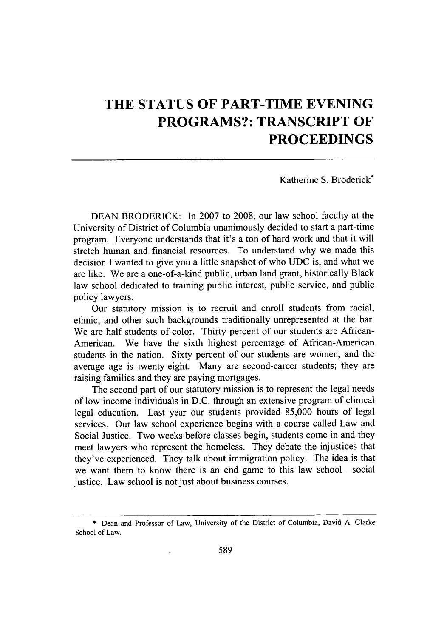## **THE STATUS OF PART-TIME EVENING PROGRAMS?: TRANSCRIPT OF PROCEEDINGS**

Katherine **S.** Broderick\*

**DEAN** BRODERICK: In **2007** to **2008,** our law school faculty at the University of District of Columbia unanimously decided to start a part-time program. Everyone understands that it's a ton of hard work and that it will stretch human and financial resources. To understand why we made this decision **I** wanted to give you a little snapshot of who **UDC** is, and what we are like. We are a one-of-a-kind public, urban land grant, historically Black law school dedicated to training public interest, public service, and public policy lawyers.

Our statutory mission is to recruit and enroll students from racial, ethnic, and other such backgrounds traditionally unrepresented at the bar. We are half students of color. Thirty percent of our students are African-American. We have the sixth highest percentage of African-American students in the nation. Sixty percent of our students are women, and the average age is twenty-eight. Many are second-career students; they are raising families and they are paying mortgages.

The second part of our statutory mission is to represent the legal needs of low income individuals in D.C. through an extensive program of clinical legal education. Last year our students provided 85,000 hours of legal services. Our law school experience begins with a course called Law and Social Justice. Two weeks before classes begin, students come in and they meet lawyers who represent the homeless. They debate the injustices that they've experienced. They talk about immigration policy. The idea is that we want them to know there is an end game to this law school-social justice. Law school is not just about business courses.

**<sup>\*</sup>** Dean and Professor of Law, University of the District of Columbia, David A. Clarke School of Law.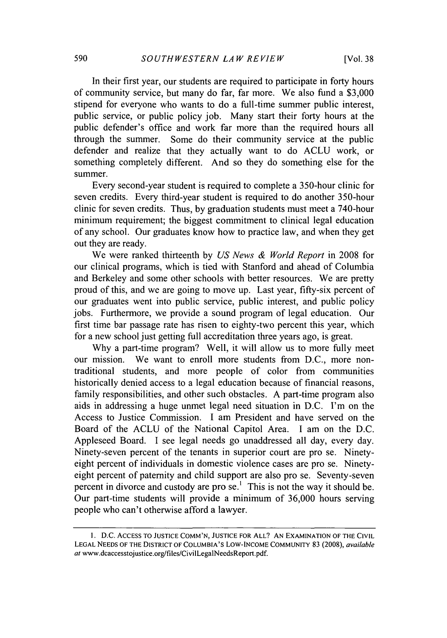In their first year, our students are required to participate in forty hours of community service, but many do far, far more. We also fund a \$3,000 stipend for everyone who wants to do a full-time summer public interest, public service, or public policy job. Many start their forty hours at the public defender's office and work far more than the required hours all through the summer. Some do their community service at the public defender and realize that they actually want to do ACLU work, or something completely different. And so they do something else for the summer.

Every second-year student is required to complete a 350-hour clinic for seven credits. Every third-year student is required to do another 350-hour clinic for seven credits. Thus, by graduation students must meet a 740-hour minimum requirement; the biggest commitment to clinical legal education of any school. Our graduates know how to practice law, and when they get out they are ready.

We were ranked thirteenth by *US News & World Report* in 2008 for our clinical programs, which is tied with Stanford and ahead of Columbia and Berkeley and some other schools with better resources. We are pretty proud of this, and we are going to move up. Last year, fifty-six percent of our graduates went into public service, public interest, and public policy iobs. Furthermore, we provide a sound program of legal education. Our first time bar passage rate has risen to eighty-two percent this year, which for a new school just getting full accreditation three years ago, is great.

Why a part-time program? Well, it will allow us to more fully meet our mission. We want to enroll more students from D.C., more nontraditional students, and more people of color from communities historically denied access to a legal education because of financial reasons, family responsibilities, and other such obstacles. A part-time program also aids in addressing a huge unmet legal need situation in D.C. I'm on the Access to Justice Commission. I am President and have served on the Board of the ACLU of the National Capitol Area. I am on the D.C. Appleseed Board. I see legal needs go unaddressed all day, every day. Ninety-seven percent of the tenants in superior court are pro se. Ninetyeight percent of individuals in domestic violence cases are pro se. Ninetyeight percent of paternity and child support are also pro se. Seventy-seven percent in divorce and custody are pro  $se<sup>1</sup>$ . This is not the way it should be. Our part-time students will provide a minimum of 36,000 hours serving people who can't otherwise afford a lawyer.

**<sup>1.</sup>** D.C. **ACCESS** TO **JUSTICE COMM'N, JUSTICE** FOR **ALL? AN** EXAMINATION OF THE CIVIL **LEGAL NEEDS** OF THE DISTRICT OF COLUMBIA'S LOW-INCOME **COMMUNITY** 83 (2008), available at www.dcaccesstojustice.org/files/CivilLegalNeedsReport.pdf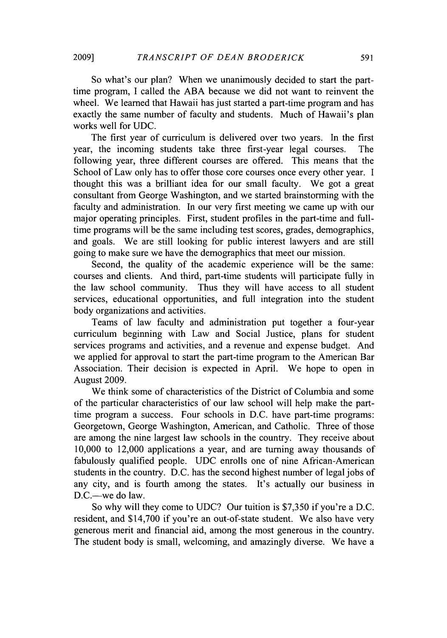So what's our plan? When we unanimously decided to start the parttime program, I called the ABA because we did not want to reinvent the wheel. We learned that Hawaii has just started a part-time program and has exactly the same number of faculty and students. Much of Hawaii's plan works well for UDC.

The first year of curriculum is delivered over two years. In the first year, the incoming students take three first-year legal courses. The following year, three different courses are offered. This means that the School of Law only has to offer those core courses once every other year. I thought this was a brilliant idea for our small faculty. We got a great consultant from George Washington, and we started brainstorming with the faculty and administration. In our very first meeting we came up with our major operating principles. First, student profiles in the part-time and fulltime programs will be the same including test scores, grades, demographics, and goals. We are still looking for public interest lawyers and are still going to make sure we have the demographics that meet our mission.

Second, the quality of the academic experience will be the same: courses and clients. And third, part-time students will participate fully in the law school community. Thus they will have access to all student services, educational opportunities, and full integration into the student body organizations and activities.

Teams of law faculty and administration put together a four-year curriculum beginning with Law and Social Justice, plans for student services programs and activities, and a revenue and expense budget. And we applied for approval to start the part-time program to the American Bar Association. Their decision is expected in April. We hope to open in August 2009.

We think some of characteristics of the District of Columbia and some of the particular characteristics of our law school will help make the parttime program a success. Four schools in D.C. have part-time programs: Georgetown, George Washington, American, and Catholic. Three of those are among the nine largest law schools in the country. They receive about 10,000 to 12,000 applications a year, and are turning away thousands of fabulously qualified people. UDC enrolls one of nine African-American students in the country. D.C. has the second highest number of legal jobs of any city, and is fourth among the states. It's actually our business in D.C.--we do law.

So why will they come to UDC? Our tuition is \$7,350 if you're a D.C. resident, and \$14,700 if you're an out-of-state student. We also have very generous merit and financial aid, among the most generous in the country. The student body is small, welcoming, and amazingly diverse. We have a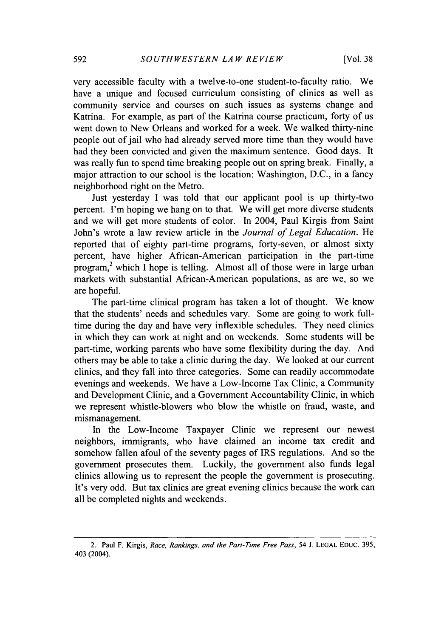very accessible faculty with a twelve-to-one student-to-faculty ratio. We have a unique and focused curriculum consisting of clinics as well as community service and courses on such issues as systems change and Katrina. For example, as part of the Katrina course practicum, forty of us went down to New Orleans and worked for a week. We walked thirty-nine people out of jail who had already served more time than they would have had they been convicted and given the maximum sentence. Good days. It was really fun to spend time breaking people out on spring break. Finally, a major attraction to our school is the location: Washington, D.C., in a fancy neighborhood right on the Metro.

Just yesterday I was told that our applicant pool is up thirty-two percent. I'm hoping we hang on to that. We will get more diverse students and we will get more students of color. In 2004, Paul Kirgis from Saint John's wrote a law review article in the *Journal of Legal Education.* He reported that of eighty part-time programs, forty-seven, or almost sixty percent, have higher African-American participation in the part-time program,<sup>2</sup> which I hope is telling. Almost all of those were in large urban markets with substantial African-American populations, as are we, so we are hopeful.

The part-time clinical program has taken a lot of thought. We know that the students' needs and schedules vary. Some are going to work fulltime during the day and have very inflexible schedules. They need clinics in which they can work at night and on weekends. Some students will be part-time, working parents who have some flexibility during the day. And others may be able to take a clinic during the day. We looked at our current clinics, and they fall into three categories. Some can readily accommodate evenings and weekends. We have a Low-Income Tax Clinic, a Community and Development Clinic, and a Government Accountability Clinic, in which we represent whistle-blowers who blow the whistle on fraud, waste, and mismanagement.

In the Low-Income Taxpayer Clinic we represent our newest neighbors, immigrants, who have claimed an income tax credit and somehow fallen afoul of the seventy pages of IRS regulations. And so the government prosecutes them. Luckily, the government also funds legal clinics allowing us to represent the people the government is prosecuting. It's very odd. But tax clinics are great evening clinics because the work can all be completed nights and weekends.

<sup>2.</sup> Paul F. Kirgis, *Race, Rankings, and the Part-Time Free Pass,* 54 **J. LEGAL EDUC. 395,** 403 (2004).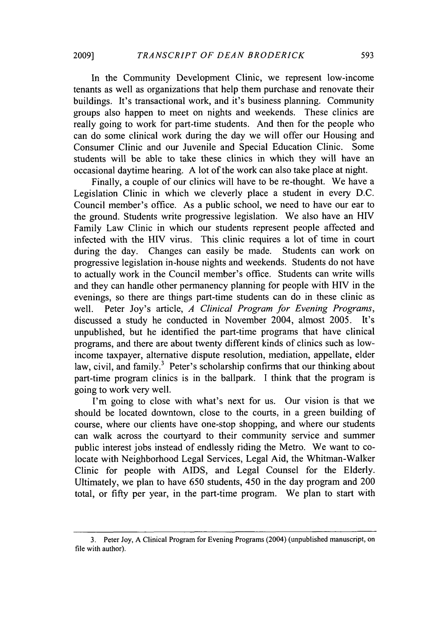In the Community Development Clinic, we represent low-income tenants as well as organizations that help them purchase and renovate their buildings. It's transactional work, and it's business planning. Community groups also happen to meet on nights and weekends. These clinics are really going to work for part-time students. And then for the people who can do some clinical work during the day we will offer our Housing and Consumer Clinic and our Juvenile and Special Education Clinic. Some students will be able to take these clinics in which they will have an occasional daytime hearing. A lot of the work can also take place at night.

Finally, a couple of our clinics will have to be re-thought. We have a Legislation Clinic in which we cleverly place a student in every D.C. Council member's office. As a public school, we need to have our ear to the ground. Students write progressive legislation. We also have an HIV Family Law Clinic in which our students represent people affected and infected with the HfV virus. This clinic requires a lot of time in court during the day. Changes can easily be made. Students can work on progressive legislation in-house nights and weekends. Students do not have to actually work in the Council member's office. Students can write wills and they can handle other permanency planning for people with HIV in the evenings, so there are things part-time students can do in these clinic as well. Peter Joy's article, *A Clinical Program for Evening Programs,* discussed a study he conducted in November 2004, almost 2005. It's unpublished, but he identified the part-time programs that have clinical programs, and there are about twenty different kinds of clinics such as lowincome taxpayer, alternative dispute resolution, mediation, appellate, elder law, civil, and family.<sup>3</sup> Peter's scholarship confirms that our thinking about part-time program clinics is in the ballpark. I think that the program is going to work very well.

I'm going to close with what's next for us. Our vision is that we should be located downtown, close to the courts, in a green building of course, where our clients have one-stop shopping, and where our students can walk across the courtyard to their community service and summer public interest jobs instead of endlessly riding the Metro. We want to colocate with Neighborhood Legal Services, Legal Aid, the Whitman-Walker Clinic for people with AIDS, and Legal Counsel for the Elderly. Ultimately, we plan to have 650 students, 450 in the day program and 200 total, or fifty per year, in the part-time program. We plan to start with

**<sup>3.</sup>** Peter Joy, A Clinical Program for Evening Programs (2004) (unpublished manuscript, on file with author).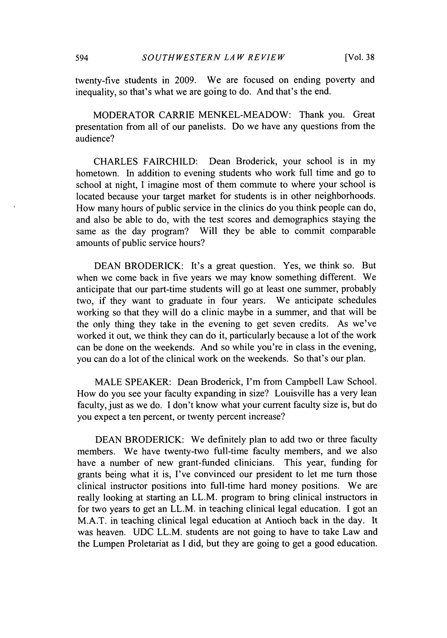twenty-five students in 2009. We are focused on ending poverty and inequality, so that's what we are going to do. And that's the end.

MODERATOR CARRIE MENKEL-MEADOW: Thank you. Great presentation from all of our panelists. Do we have any questions from the audience?

CHARLES FAIRCHILD: Dean Broderick, your school is in my hometown. In addition to evening students who work full time and go to school at night, I imagine most of them commute to where your school is located because your target market for students is in other neighborhoods. How many hours of public service in the clinics do you think people can do, and also be able to do, with the test scores and demographics staying the same as the day program? Will they be able to commit comparable amounts of public service hours?

DEAN BRODERICK: It's a great question. Yes, we think so. But when we come back in five years we may know something different. We anticipate that our part-time students will go at least one summer, probably two, if they want to graduate in four years. We anticipate schedules working so that they will do a clinic maybe in a summer, and that will be the only thing they take in the evening to get seven credits. As we've worked it out, we think they can do it, particularly because a lot of the work can be done on the weekends. And so while you're in class in the evening, you can do a lot of the clinical work on the weekends. So that's our plan.

MALE SPEAKER: Dean Broderick, I'm from Campbell Law School. How do you see your faculty expanding in size? Louisville has a very lean faculty, just as we do. I don't know what your current faculty size is, but do you expect a ten percent, or twenty percent increase?

DEAN BRODERICK: We definitely plan to add two or three faculty members. We have twenty-two full-time faculty members, and we also have a number of new grant-funded clinicians. This year, funding for grants being what it is, I've convinced our president to let me turn those clinical instructor positions into full-time hard money positions. We are really looking at starting an LL.M. program to bring clinical instructors in for two years to get an LL.M. in teaching clinical legal education. I got an M.A.T. in teaching clinical legal education at Antioch back in the day. It was heaven. UDC LL.M. students are not going to have to take Law and the Lumpen Proletariat as I did, but they are going to get a good education.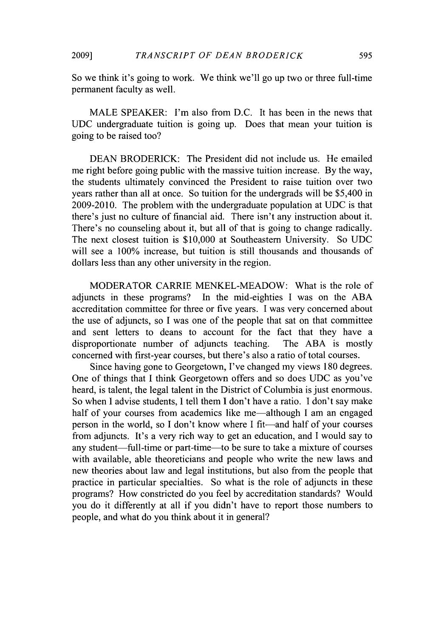So we think it's going to work. We think we'll go up two or three full-time permanent faculty as well.

MALE SPEAKER: I'm also from D.C. It has been in the news that UDC undergraduate tuition is going up. Does that mean your tuition is going to be raised too?

DEAN BRODERICK: The President did not include us. He emailed me right before going public with the massive tuition increase. By the way, the students ultimately convinced the President to raise tuition over two years rather than all at once. So tuition for the undergrads will be \$5,400 in 2009-2010. The problem with the undergraduate population at UDC is that there's just no culture of financial aid. There isn't any instruction about it. There's no counseling about it, but all of that is going to change radically. The next closest tuition is \$10,000 at Southeastern University. So UDC will see a 100% increase, but tuition is still thousands and thousands of dollars less than any other university in the region.

MODERATOR CARRIE MENKEL-MEADOW: What is the role of adjuncts in these programs? In the mid-eighties I was on the ABA accreditation committee for three or five years. I was very concerned about the use of adjuncts, so I was one of the people that sat on that committee and sent letters to deans to account for the fact that they have a disproportionate number of adjuncts teaching. The ABA is mostly concerned with first-year courses, but there's also a ratio of total courses.

Since having gone to Georgetown, I've changed my views 180 degrees. One of things that I think Georgetown offers and so does UDC as you've heard, is talent, the legal talent in the District of Columbia is just enormous. So when I advise students, I tell them I don't have a ratio. I don't say make half of your courses from academics like me—although I am an engaged person in the world, so I don't know where I fit—and half of your courses from adjuncts. It's a very rich way to get an education, and I would say to any student—full-time or part-time—to be sure to take a mixture of courses with available, able theoreticians and people who write the new laws and new theories about law and legal institutions, but also from the people that practice in particular specialties. So what is the role of adjuncts in these programs? How constricted do you feel by accreditation standards? Would you do it differently at all if you didn't have to report those numbers to people, and what do you think about it in general?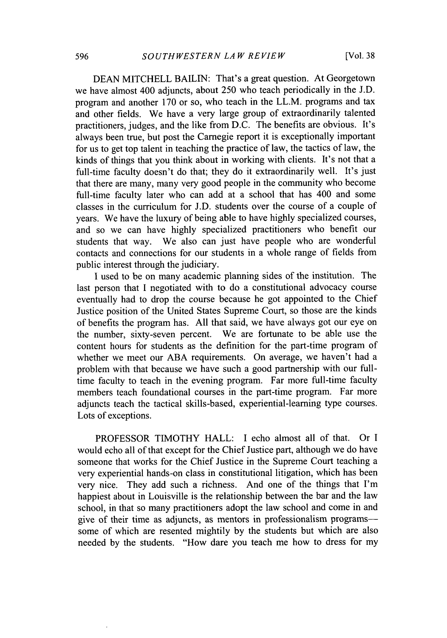DEAN MITCHELL BAILIN: That's a great question. At Georgetown we have almost 400 adjuncts, about 250 who teach periodically in the J.D. program and another 170 or so, who teach in the LL.M. programs and tax and other fields. We have a very large group of extraordinarily talented practitioners, judges, and the like from D.C. The benefits are obvious. It's always been true, but post the Carnegie report it is exceptionally important for us to get top talent in teaching the practice of law, the tactics of law, the kinds of things that you think about in working with clients. It's not that a full-time faculty doesn't do that; they do it extraordinarily well. It's just that there are many, many very good people in the community who become full-time faculty later who can add at a school that has 400 and some classes in the curriculum for J.D. students over the course of a couple of years. We have the luxury of being able to have highly specialized courses, and so we can have highly specialized practitioners who benefit our students that way. We also can just have people who are wonderful contacts and connections for our students in a whole range of fields from public interest through the judiciary.

I used to be on many academic planning sides of the institution. The last person that I negotiated with to do a constitutional advocacy course eventually had to drop the course because he got appointed to the Chief Justice position of the United States Supreme Court, so those are the kinds of benefits the program has. All that said, we have always got our eye on the number, sixty-seven percent. We are fortunate to be able use the content hours for students as the definition for the part-time program of whether we meet our ABA requirements. On average, we haven't had a problem with that because we have such a good partnership with our fulltime faculty to teach in the evening program. Far more full-time faculty members teach foundational courses in the part-time program. Far more adjuncts teach the tactical skills-based, experiential-learning type courses. Lots of exceptions.

PROFESSOR TIMOTHY HALL: I echo almost all of that. Or I would echo all of that except for the Chief Justice part, although we do have someone that works for the Chief Justice in the Supreme Court teaching a very experiential hands-on class in constitutional litigation, which has been very nice. They add such a richness. And one of the things that I'm happiest about in Louisville is the relationship between the bar and the law school, in that so many practitioners adopt the law school and come in and give of their time as adjuncts, as mentors in professionalism programs--some of which are resented mightily by the students but which are also needed by the students. "How dare you teach me how to dress for my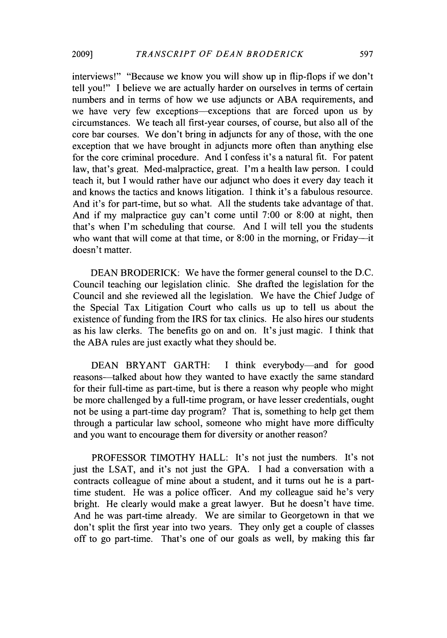interviews!" "Because we know you will show up in flip-flops if we don't tell you!" I believe we are actually harder on ourselves in terms of certain numbers and in terms of how we use adjuncts or ABA requirements, and we have very few exceptions—exceptions that are forced upon us by circumstances. We teach all first-year courses, of course, but also all of the core bar courses. We don't bring in adjuncts for any of those, with the one exception that we have brought in adjuncts more often than anything else for the core criminal procedure. And I confess it's a natural fit. For patent law, that's great. Med-malpractice, great. I'm a health law person. I could teach it, but I would rather have our adjunct who does it every day teach it and knows the tactics and knows litigation. I think it's a fabulous resource. And it's for part-time, but so what. All the students take advantage of that. And if my malpractice guy can't come until 7:00 or 8:00 at night, then that's when I'm scheduling that course. And I will tell you the students who want that will come at that time, or 8:00 in the morning, or Friday--- it doesn't matter.

DEAN BRODERICK: We have the former general counsel to the D.C. Council teaching our legislation clinic. She drafted the legislation for the Council and she reviewed all the legislation. We have the Chief Judge of the Special Tax Litigation Court who calls us up to tell us about the existence of funding from the IRS for tax clinics. He also hires our students as his law clerks. The benefits go on and on. It's just magic. I think that the ABA rules are just exactly what they should be.

DEAN BRYANT GARTH: I think everybody—and for good reasons-talked about how they wanted to have exactly the same standard for their full-time as part-time, but is there a reason why people who might be more challenged by a full-time program, or have lesser credentials, ought not be using a part-time day program? That is, something to help get them through a particular law school, someone who might have more difficulty and you want to encourage them for diversity or another reason?

PROFESSOR TIMOTHY HALL: It's not just the numbers. It's not just the LSAT, and it's not just the GPA. I had a conversation with a contracts colleague of mine about a student, and it turns out he is a parttime student. He was a police officer. And my colleague said he's very bright. He clearly would make a great lawyer. But he doesn't have time. And he was part-time already. We are similar to Georgetown in that we don't split the first year into two years. They only get a couple of classes off to go part-time. That's one of our goals as well, by making this far